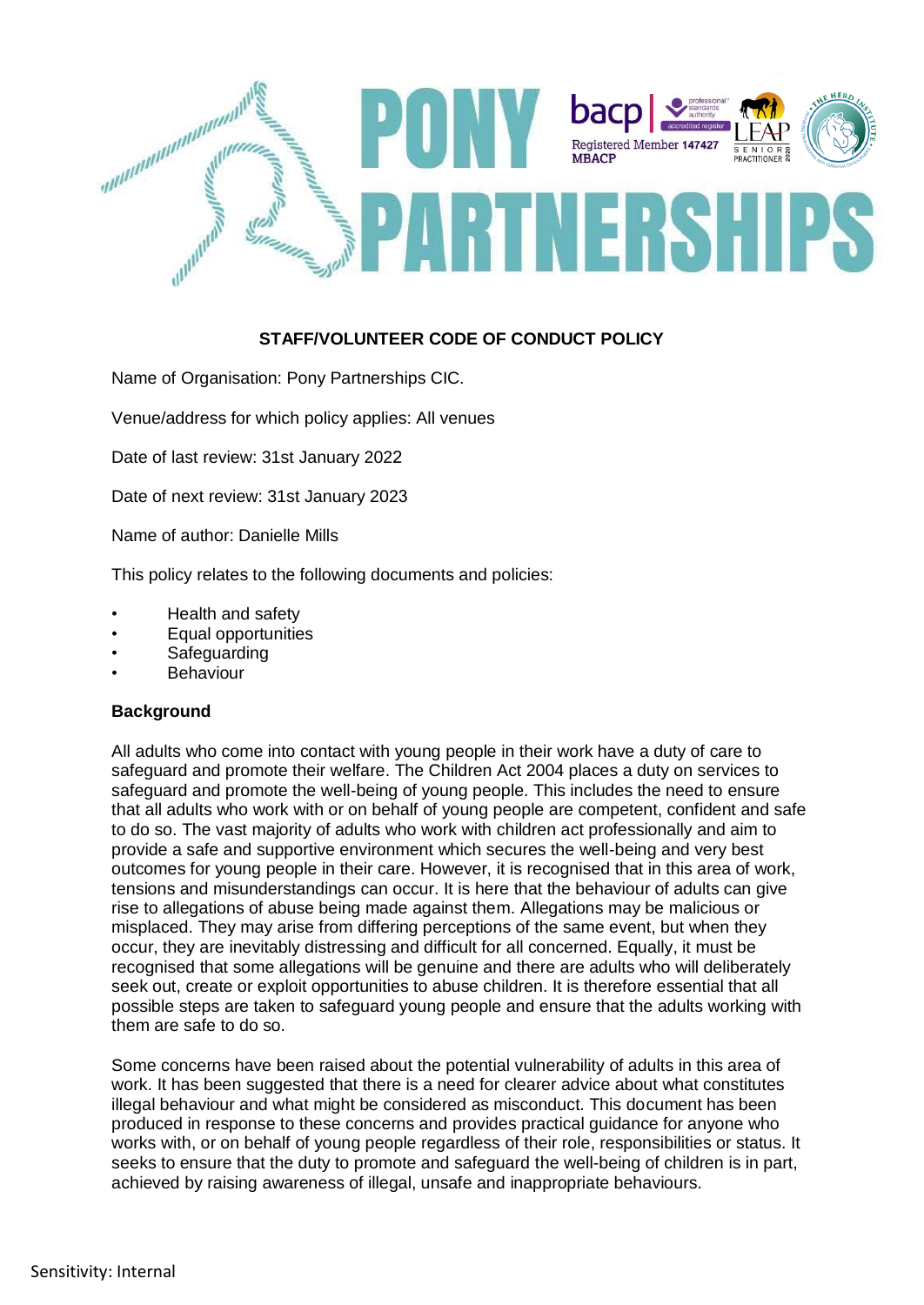

# **STAFF/VOLUNTEER CODE OF CONDUCT POLICY**

Name of Organisation: Pony Partnerships CIC.

Venue/address for which policy applies: All venues

Date of last review: 31st January 2022

Date of next review: 31st January 2023

Name of author: Danielle Mills

This policy relates to the following documents and policies:

- Health and safety
- Equal opportunities
- **Safeguarding**
- **Behaviour**

## **Background**

All adults who come into contact with young people in their work have a duty of care to safeguard and promote their welfare. The Children Act 2004 places a duty on services to safeguard and promote the well-being of young people. This includes the need to ensure that all adults who work with or on behalf of young people are competent, confident and safe to do so. The vast majority of adults who work with children act professionally and aim to provide a safe and supportive environment which secures the well-being and very best outcomes for young people in their care. However, it is recognised that in this area of work, tensions and misunderstandings can occur. It is here that the behaviour of adults can give rise to allegations of abuse being made against them. Allegations may be malicious or misplaced. They may arise from differing perceptions of the same event, but when they occur, they are inevitably distressing and difficult for all concerned. Equally, it must be recognised that some allegations will be genuine and there are adults who will deliberately seek out, create or exploit opportunities to abuse children. It is therefore essential that all possible steps are taken to safeguard young people and ensure that the adults working with them are safe to do so.

Some concerns have been raised about the potential vulnerability of adults in this area of work. It has been suggested that there is a need for clearer advice about what constitutes illegal behaviour and what might be considered as misconduct. This document has been produced in response to these concerns and provides practical guidance for anyone who works with, or on behalf of young people regardless of their role, responsibilities or status. It seeks to ensure that the duty to promote and safeguard the well-being of children is in part, achieved by raising awareness of illegal, unsafe and inappropriate behaviours.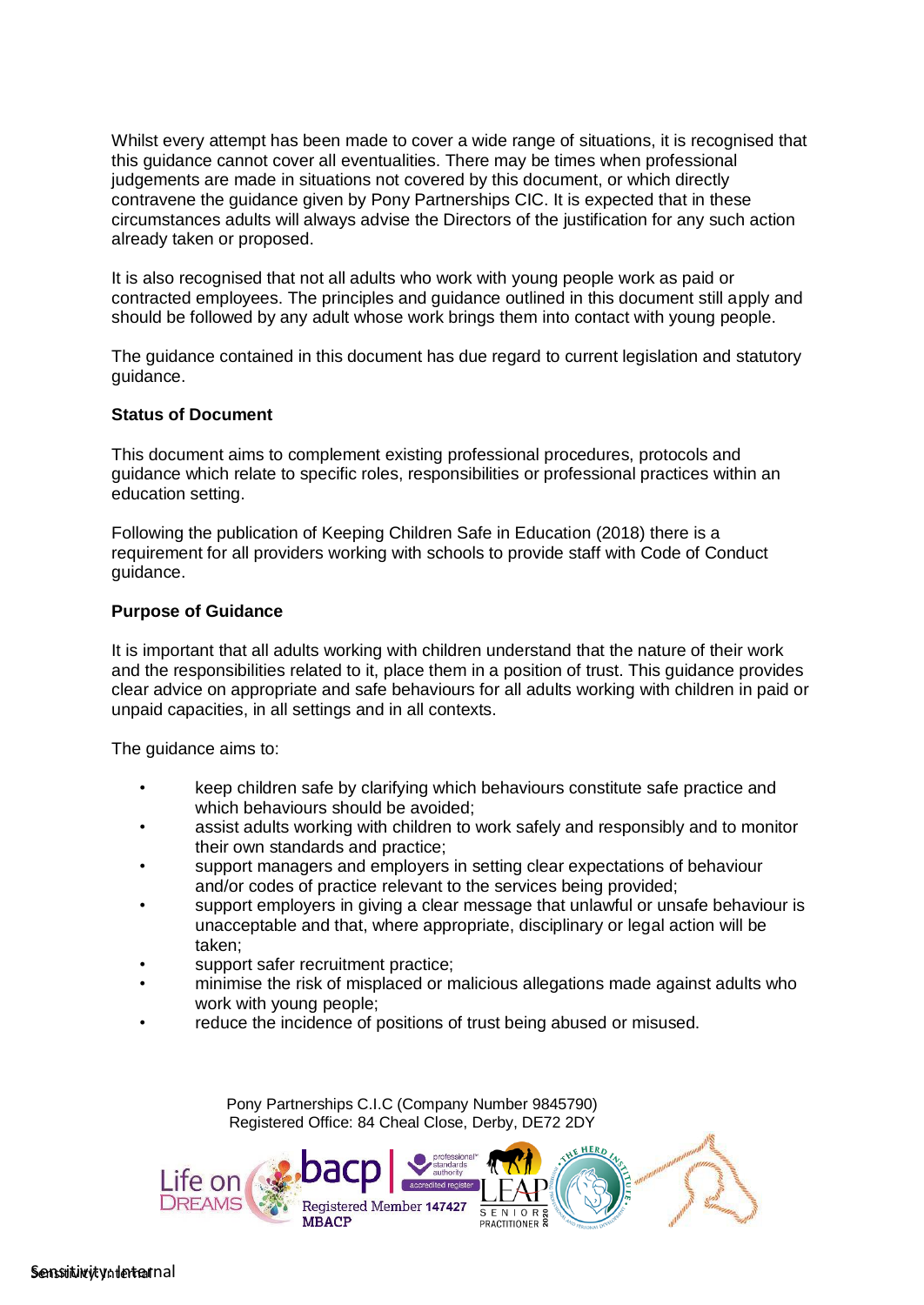Whilst every attempt has been made to cover a wide range of situations, it is recognised that this guidance cannot cover all eventualities. There may be times when professional judgements are made in situations not covered by this document, or which directly contravene the guidance given by Pony Partnerships CIC. It is expected that in these circumstances adults will always advise the Directors of the justification for any such action already taken or proposed.

It is also recognised that not all adults who work with young people work as paid or contracted employees. The principles and guidance outlined in this document still apply and should be followed by any adult whose work brings them into contact with young people.

The guidance contained in this document has due regard to current legislation and statutory guidance.

#### **Status of Document**

This document aims to complement existing professional procedures, protocols and guidance which relate to specific roles, responsibilities or professional practices within an education setting.

Following the publication of Keeping Children Safe in Education (2018) there is a requirement for all providers working with schools to provide staff with Code of Conduct guidance.

#### **Purpose of Guidance**

It is important that all adults working with children understand that the nature of their work and the responsibilities related to it, place them in a position of trust. This guidance provides clear advice on appropriate and safe behaviours for all adults working with children in paid or unpaid capacities, in all settings and in all contexts.

The guidance aims to:

- keep children safe by clarifying which behaviours constitute safe practice and which behaviours should be avoided;
- assist adults working with children to work safely and responsibly and to monitor their own standards and practice;
- support managers and employers in setting clear expectations of behaviour and/or codes of practice relevant to the services being provided;
- support employers in giving a clear message that unlawful or unsafe behaviour is unacceptable and that, where appropriate, disciplinary or legal action will be taken;
- support safer recruitment practice;
- minimise the risk of misplaced or malicious allegations made against adults who work with young people;
- reduce the incidence of positions of trust being abused or misused.

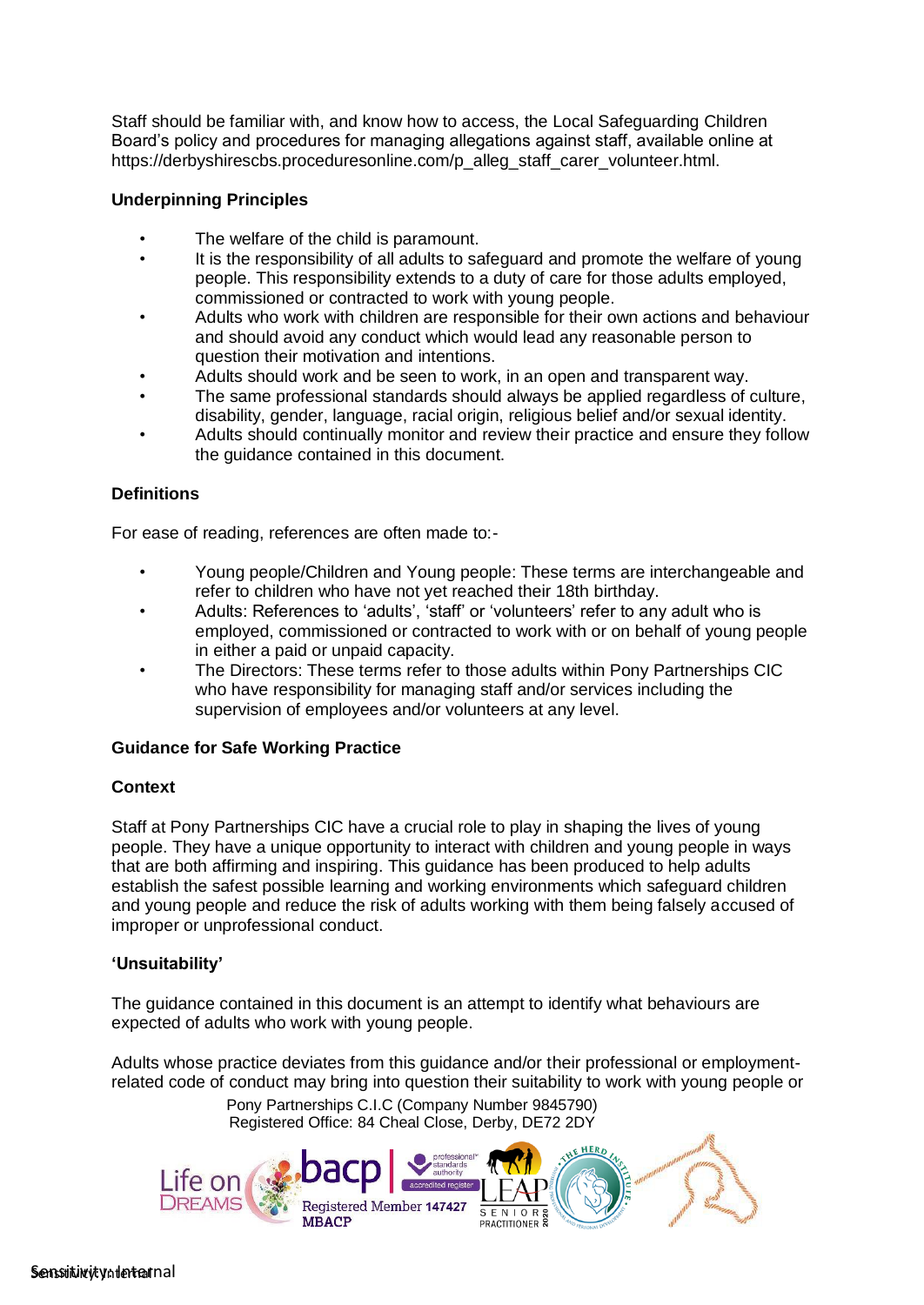Staff should be familiar with, and know how to access, the Local Safeguarding Children Board's policy and procedures for managing allegations against staff, available online at https://derbyshirescbs.proceduresonline.com/p\_alleg\_staff\_carer\_volunteer.html.

# **Underpinning Principles**

- The welfare of the child is paramount.
- It is the responsibility of all adults to safeguard and promote the welfare of young people. This responsibility extends to a duty of care for those adults employed, commissioned or contracted to work with young people.
- Adults who work with children are responsible for their own actions and behaviour and should avoid any conduct which would lead any reasonable person to question their motivation and intentions.
- Adults should work and be seen to work, in an open and transparent way.
- The same professional standards should always be applied regardless of culture, disability, gender, language, racial origin, religious belief and/or sexual identity.
- Adults should continually monitor and review their practice and ensure they follow the guidance contained in this document.

# **Definitions**

For ease of reading, references are often made to:-

- Young people/Children and Young people: These terms are interchangeable and refer to children who have not yet reached their 18th birthday.
- Adults: References to 'adults', 'staff' or 'volunteers' refer to any adult who is employed, commissioned or contracted to work with or on behalf of young people in either a paid or unpaid capacity.
- The Directors: These terms refer to those adults within Pony Partnerships CIC who have responsibility for managing staff and/or services including the supervision of employees and/or volunteers at any level.

## **Guidance for Safe Working Practice**

## **Context**

Staff at Pony Partnerships CIC have a crucial role to play in shaping the lives of young people. They have a unique opportunity to interact with children and young people in ways that are both affirming and inspiring. This guidance has been produced to help adults establish the safest possible learning and working environments which safeguard children and young people and reduce the risk of adults working with them being falsely accused of improper or unprofessional conduct.

## **'Unsuitability'**

The guidance contained in this document is an attempt to identify what behaviours are expected of adults who work with young people.

Adults whose practice deviates from this guidance and/or their professional or employmentrelated code of conduct may bring into question their suitability to work with young people or

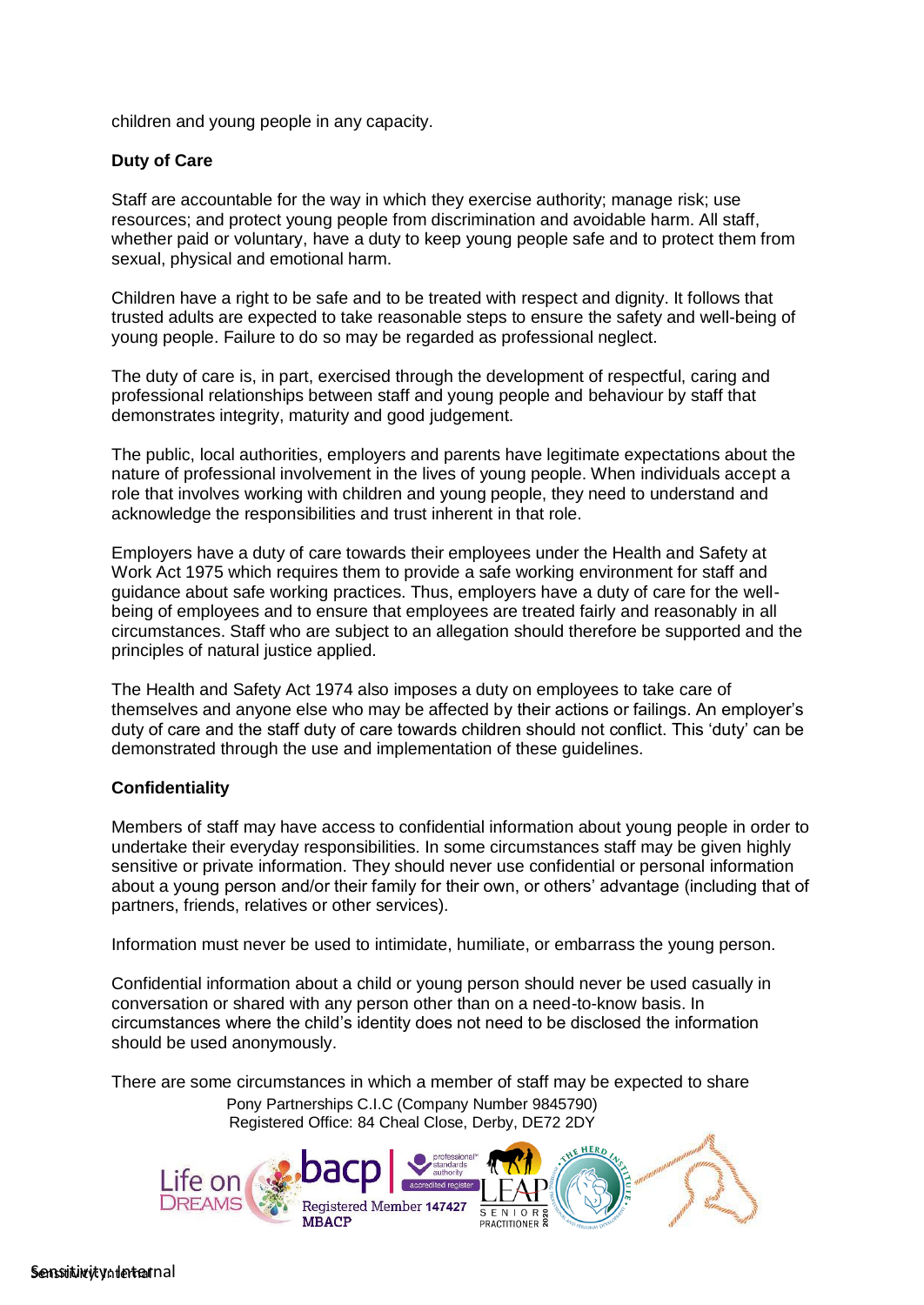children and young people in any capacity.

# **Duty of Care**

Staff are accountable for the way in which they exercise authority; manage risk; use resources; and protect young people from discrimination and avoidable harm. All staff, whether paid or voluntary, have a duty to keep young people safe and to protect them from sexual, physical and emotional harm.

Children have a right to be safe and to be treated with respect and dignity. It follows that trusted adults are expected to take reasonable steps to ensure the safety and well-being of young people. Failure to do so may be regarded as professional neglect.

The duty of care is, in part, exercised through the development of respectful, caring and professional relationships between staff and young people and behaviour by staff that demonstrates integrity, maturity and good judgement.

The public, local authorities, employers and parents have legitimate expectations about the nature of professional involvement in the lives of young people. When individuals accept a role that involves working with children and young people, they need to understand and acknowledge the responsibilities and trust inherent in that role.

Employers have a duty of care towards their employees under the Health and Safety at Work Act 1975 which requires them to provide a safe working environment for staff and guidance about safe working practices. Thus, employers have a duty of care for the wellbeing of employees and to ensure that employees are treated fairly and reasonably in all circumstances. Staff who are subject to an allegation should therefore be supported and the principles of natural justice applied.

The Health and Safety Act 1974 also imposes a duty on employees to take care of themselves and anyone else who may be affected by their actions or failings. An employer's duty of care and the staff duty of care towards children should not conflict. This 'duty' can be demonstrated through the use and implementation of these guidelines.

## **Confidentiality**

Members of staff may have access to confidential information about young people in order to undertake their everyday responsibilities. In some circumstances staff may be given highly sensitive or private information. They should never use confidential or personal information about a young person and/or their family for their own, or others' advantage (including that of partners, friends, relatives or other services).

Information must never be used to intimidate, humiliate, or embarrass the young person.

Confidential information about a child or young person should never be used casually in conversation or shared with any person other than on a need-to-know basis. In circumstances where the child's identity does not need to be disclosed the information should be used anonymously.

There are some circumstances in which a member of staff may be expected to share Pony Partnerships C.I.C (Company Number 9845790) Registered Office: 84 Cheal Close, Derby, DE72 2DY

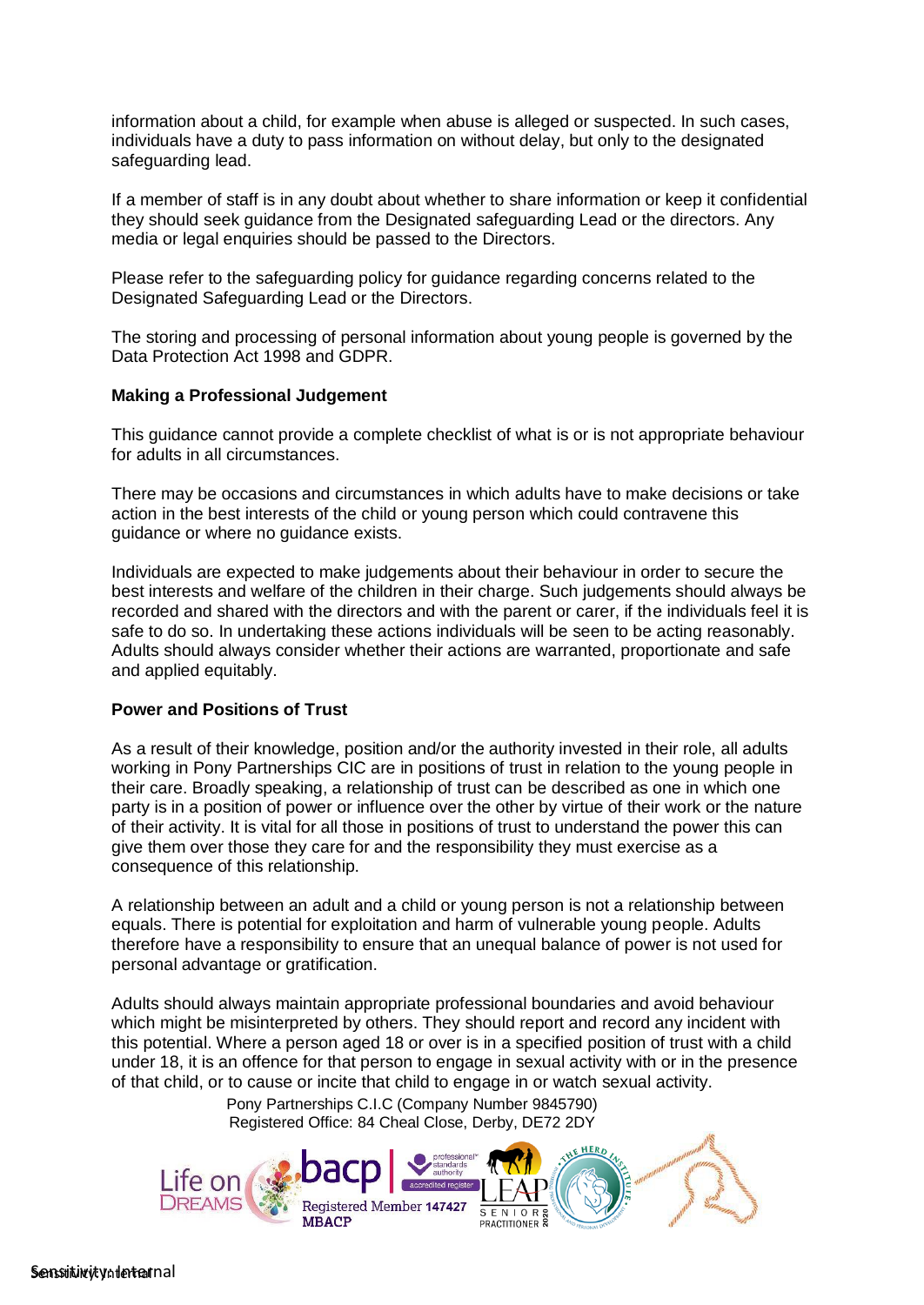information about a child, for example when abuse is alleged or suspected. In such cases, individuals have a duty to pass information on without delay, but only to the designated safeguarding lead.

If a member of staff is in any doubt about whether to share information or keep it confidential they should seek guidance from the Designated safeguarding Lead or the directors. Any media or legal enquiries should be passed to the Directors.

Please refer to the safeguarding policy for guidance regarding concerns related to the Designated Safeguarding Lead or the Directors.

The storing and processing of personal information about young people is governed by the Data Protection Act 1998 and GDPR.

#### **Making a Professional Judgement**

This guidance cannot provide a complete checklist of what is or is not appropriate behaviour for adults in all circumstances.

There may be occasions and circumstances in which adults have to make decisions or take action in the best interests of the child or young person which could contravene this guidance or where no guidance exists.

Individuals are expected to make judgements about their behaviour in order to secure the best interests and welfare of the children in their charge. Such judgements should always be recorded and shared with the directors and with the parent or carer, if the individuals feel it is safe to do so. In undertaking these actions individuals will be seen to be acting reasonably. Adults should always consider whether their actions are warranted, proportionate and safe and applied equitably.

#### **Power and Positions of Trust**

As a result of their knowledge, position and/or the authority invested in their role, all adults working in Pony Partnerships CIC are in positions of trust in relation to the young people in their care. Broadly speaking, a relationship of trust can be described as one in which one party is in a position of power or influence over the other by virtue of their work or the nature of their activity. It is vital for all those in positions of trust to understand the power this can give them over those they care for and the responsibility they must exercise as a consequence of this relationship.

A relationship between an adult and a child or young person is not a relationship between equals. There is potential for exploitation and harm of vulnerable young people. Adults therefore have a responsibility to ensure that an unequal balance of power is not used for personal advantage or gratification.

Adults should always maintain appropriate professional boundaries and avoid behaviour which might be misinterpreted by others. They should report and record any incident with this potential. Where a person aged 18 or over is in a specified position of trust with a child under 18, it is an offence for that person to engage in sexual activity with or in the presence of that child, or to cause or incite that child to engage in or watch sexual activity.

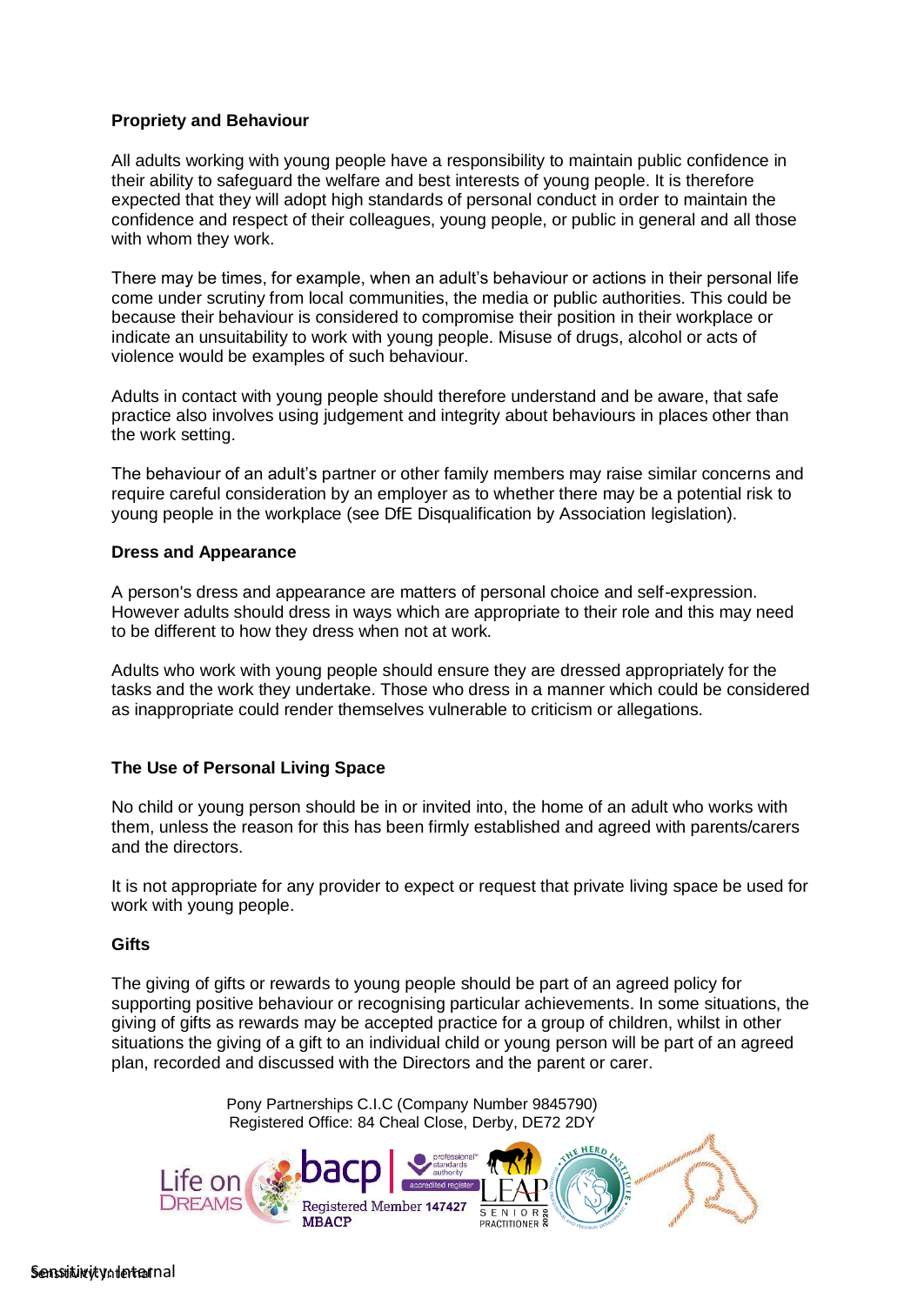# **Propriety and Behaviour**

All adults working with young people have a responsibility to maintain public confidence in their ability to safeguard the welfare and best interests of young people. It is therefore expected that they will adopt high standards of personal conduct in order to maintain the confidence and respect of their colleagues, young people, or public in general and all those with whom they work.

There may be times, for example, when an adult's behaviour or actions in their personal life come under scrutiny from local communities, the media or public authorities. This could be because their behaviour is considered to compromise their position in their workplace or indicate an unsuitability to work with young people. Misuse of drugs, alcohol or acts of violence would be examples of such behaviour.

Adults in contact with young people should therefore understand and be aware, that safe practice also involves using judgement and integrity about behaviours in places other than the work setting.

The behaviour of an adult's partner or other family members may raise similar concerns and require careful consideration by an employer as to whether there may be a potential risk to young people in the workplace (see DfE Disqualification by Association legislation).

#### **Dress and Appearance**

A person's dress and appearance are matters of personal choice and self-expression. However adults should dress in ways which are appropriate to their role and this may need to be different to how they dress when not at work.

Adults who work with young people should ensure they are dressed appropriately for the tasks and the work they undertake. Those who dress in a manner which could be considered as inappropriate could render themselves vulnerable to criticism or allegations.

## **The Use of Personal Living Space**

No child or young person should be in or invited into, the home of an adult who works with them, unless the reason for this has been firmly established and agreed with parents/carers and the directors.

It is not appropriate for any provider to expect or request that private living space be used for work with young people.

## **Gifts**

The giving of gifts or rewards to young people should be part of an agreed policy for supporting positive behaviour or recognising particular achievements. In some situations, the giving of gifts as rewards may be accepted practice for a group of children, whilst in other situations the giving of a gift to an individual child or young person will be part of an agreed plan, recorded and discussed with the Directors and the parent or carer.

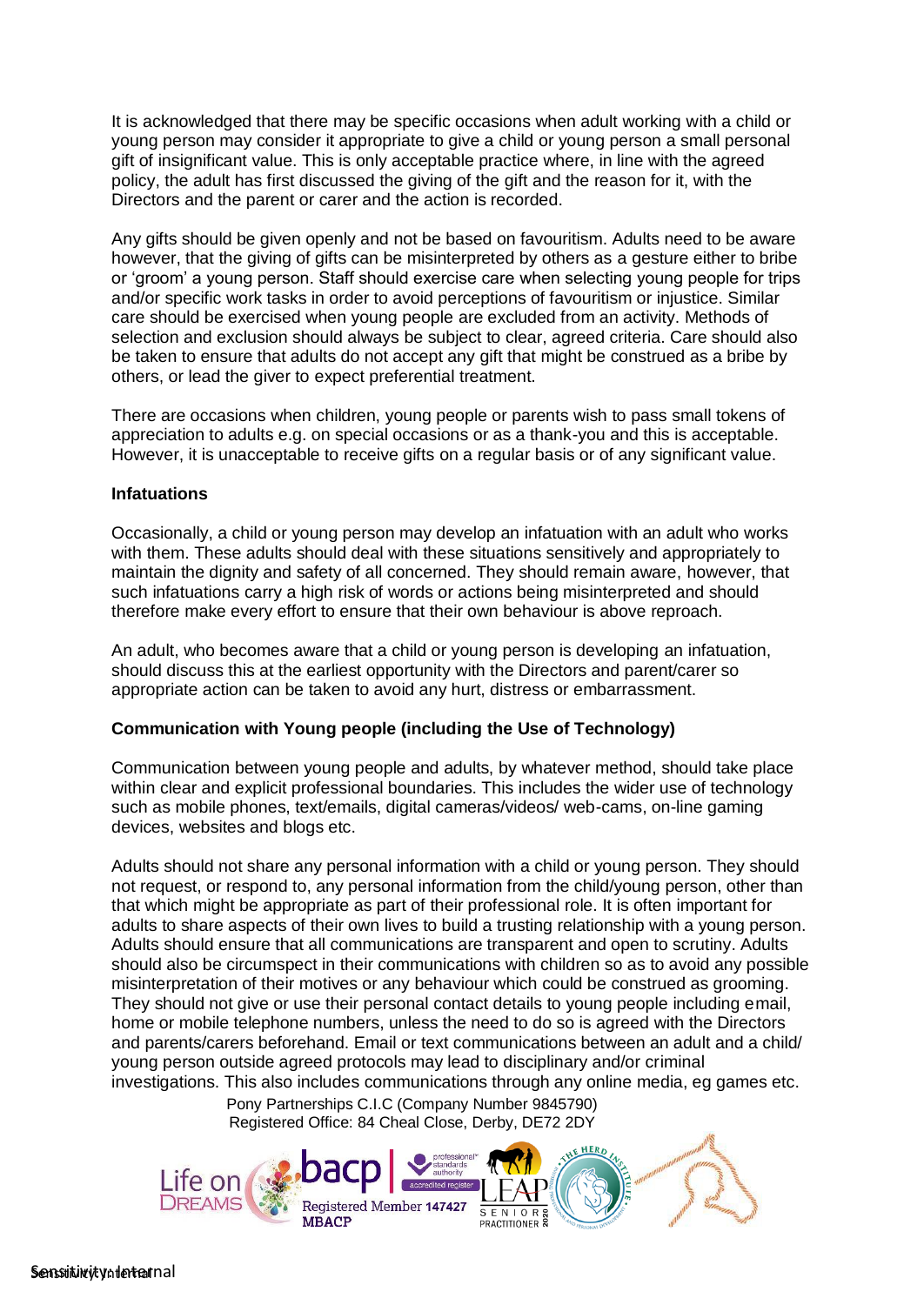It is acknowledged that there may be specific occasions when adult working with a child or young person may consider it appropriate to give a child or young person a small personal gift of insignificant value. This is only acceptable practice where, in line with the agreed policy, the adult has first discussed the giving of the gift and the reason for it, with the Directors and the parent or carer and the action is recorded.

Any gifts should be given openly and not be based on favouritism. Adults need to be aware however, that the giving of gifts can be misinterpreted by others as a gesture either to bribe or 'groom' a young person. Staff should exercise care when selecting young people for trips and/or specific work tasks in order to avoid perceptions of favouritism or injustice. Similar care should be exercised when young people are excluded from an activity. Methods of selection and exclusion should always be subject to clear, agreed criteria. Care should also be taken to ensure that adults do not accept any gift that might be construed as a bribe by others, or lead the giver to expect preferential treatment.

There are occasions when children, young people or parents wish to pass small tokens of appreciation to adults e.g. on special occasions or as a thank-you and this is acceptable. However, it is unacceptable to receive gifts on a regular basis or of any significant value.

#### **Infatuations**

Occasionally, a child or young person may develop an infatuation with an adult who works with them. These adults should deal with these situations sensitively and appropriately to maintain the dignity and safety of all concerned. They should remain aware, however, that such infatuations carry a high risk of words or actions being misinterpreted and should therefore make every effort to ensure that their own behaviour is above reproach.

An adult, who becomes aware that a child or young person is developing an infatuation, should discuss this at the earliest opportunity with the Directors and parent/carer so appropriate action can be taken to avoid any hurt, distress or embarrassment.

## **Communication with Young people (including the Use of Technology)**

Communication between young people and adults, by whatever method, should take place within clear and explicit professional boundaries. This includes the wider use of technology such as mobile phones, text/emails, digital cameras/videos/ web-cams, on-line gaming devices, websites and blogs etc.

Adults should not share any personal information with a child or young person. They should not request, or respond to, any personal information from the child/young person, other than that which might be appropriate as part of their professional role. It is often important for adults to share aspects of their own lives to build a trusting relationship with a young person. Adults should ensure that all communications are transparent and open to scrutiny. Adults should also be circumspect in their communications with children so as to avoid any possible misinterpretation of their motives or any behaviour which could be construed as grooming. They should not give or use their personal contact details to young people including email, home or mobile telephone numbers, unless the need to do so is agreed with the Directors and parents/carers beforehand. Email or text communications between an adult and a child/ young person outside agreed protocols may lead to disciplinary and/or criminal investigations. This also includes communications through any online media, eg games etc.

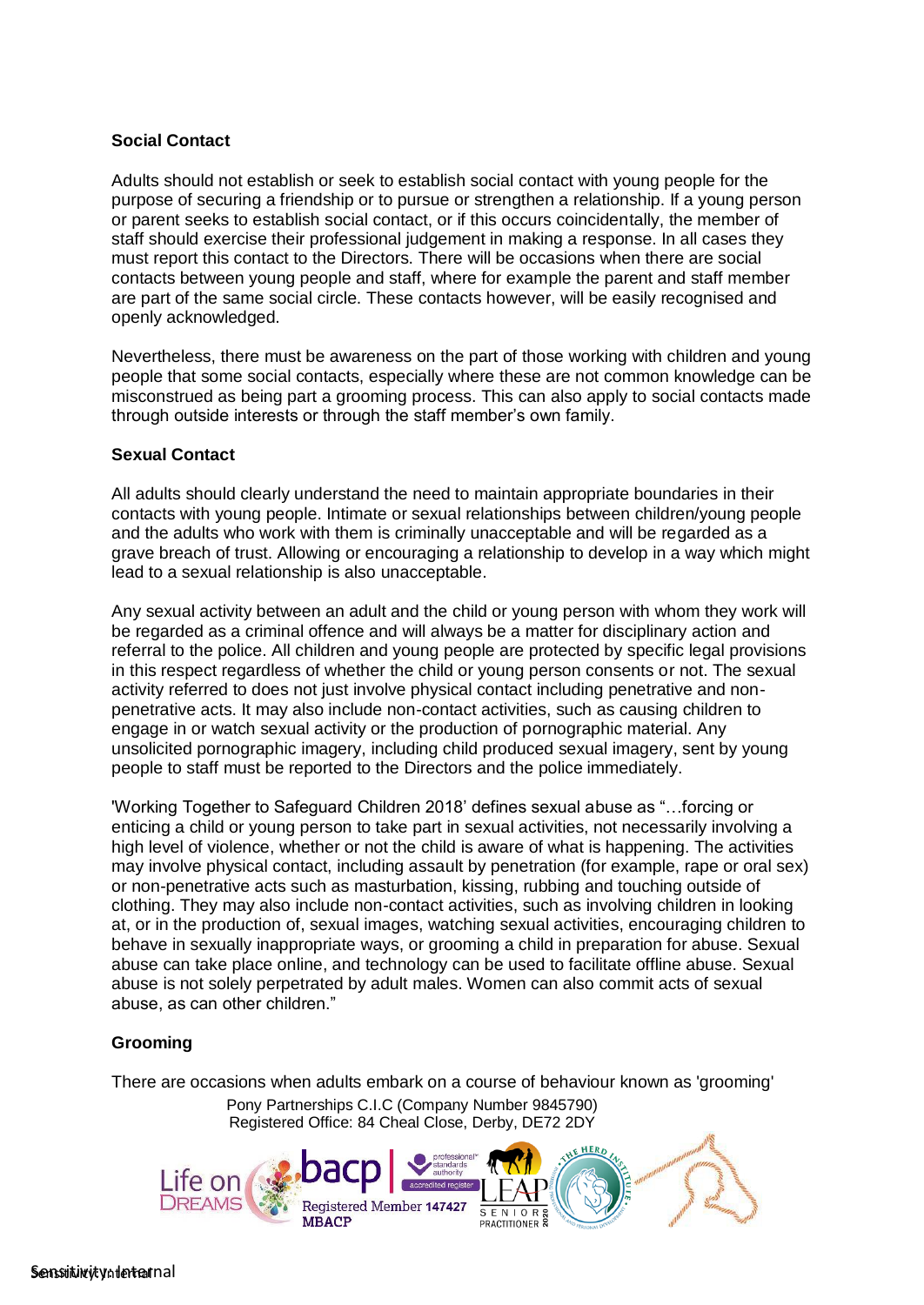## **Social Contact**

Adults should not establish or seek to establish social contact with young people for the purpose of securing a friendship or to pursue or strengthen a relationship. If a young person or parent seeks to establish social contact, or if this occurs coincidentally, the member of staff should exercise their professional judgement in making a response. In all cases they must report this contact to the Directors. There will be occasions when there are social contacts between young people and staff, where for example the parent and staff member are part of the same social circle. These contacts however, will be easily recognised and openly acknowledged.

Nevertheless, there must be awareness on the part of those working with children and young people that some social contacts, especially where these are not common knowledge can be misconstrued as being part a grooming process. This can also apply to social contacts made through outside interests or through the staff member's own family.

## **Sexual Contact**

All adults should clearly understand the need to maintain appropriate boundaries in their contacts with young people. Intimate or sexual relationships between children/young people and the adults who work with them is criminally unacceptable and will be regarded as a grave breach of trust. Allowing or encouraging a relationship to develop in a way which might lead to a sexual relationship is also unacceptable.

Any sexual activity between an adult and the child or young person with whom they work will be regarded as a criminal offence and will always be a matter for disciplinary action and referral to the police. All children and young people are protected by specific legal provisions in this respect regardless of whether the child or young person consents or not. The sexual activity referred to does not just involve physical contact including penetrative and nonpenetrative acts. It may also include non-contact activities, such as causing children to engage in or watch sexual activity or the production of pornographic material. Any unsolicited pornographic imagery, including child produced sexual imagery, sent by young people to staff must be reported to the Directors and the police immediately.

'Working Together to Safeguard Children 2018' defines sexual abuse as "…forcing or enticing a child or young person to take part in sexual activities, not necessarily involving a high level of violence, whether or not the child is aware of what is happening. The activities may involve physical contact, including assault by penetration (for example, rape or oral sex) or non-penetrative acts such as masturbation, kissing, rubbing and touching outside of clothing. They may also include non-contact activities, such as involving children in looking at, or in the production of, sexual images, watching sexual activities, encouraging children to behave in sexually inappropriate ways, or grooming a child in preparation for abuse. Sexual abuse can take place online, and technology can be used to facilitate offline abuse. Sexual abuse is not solely perpetrated by adult males. Women can also commit acts of sexual abuse, as can other children."

# **Grooming**

There are occasions when adults embark on a course of behaviour known as 'grooming' Pony Partnerships C.I.C (Company Number 9845790)

Registered Office: 84 Cheal Close, Derby, DE72 2DY

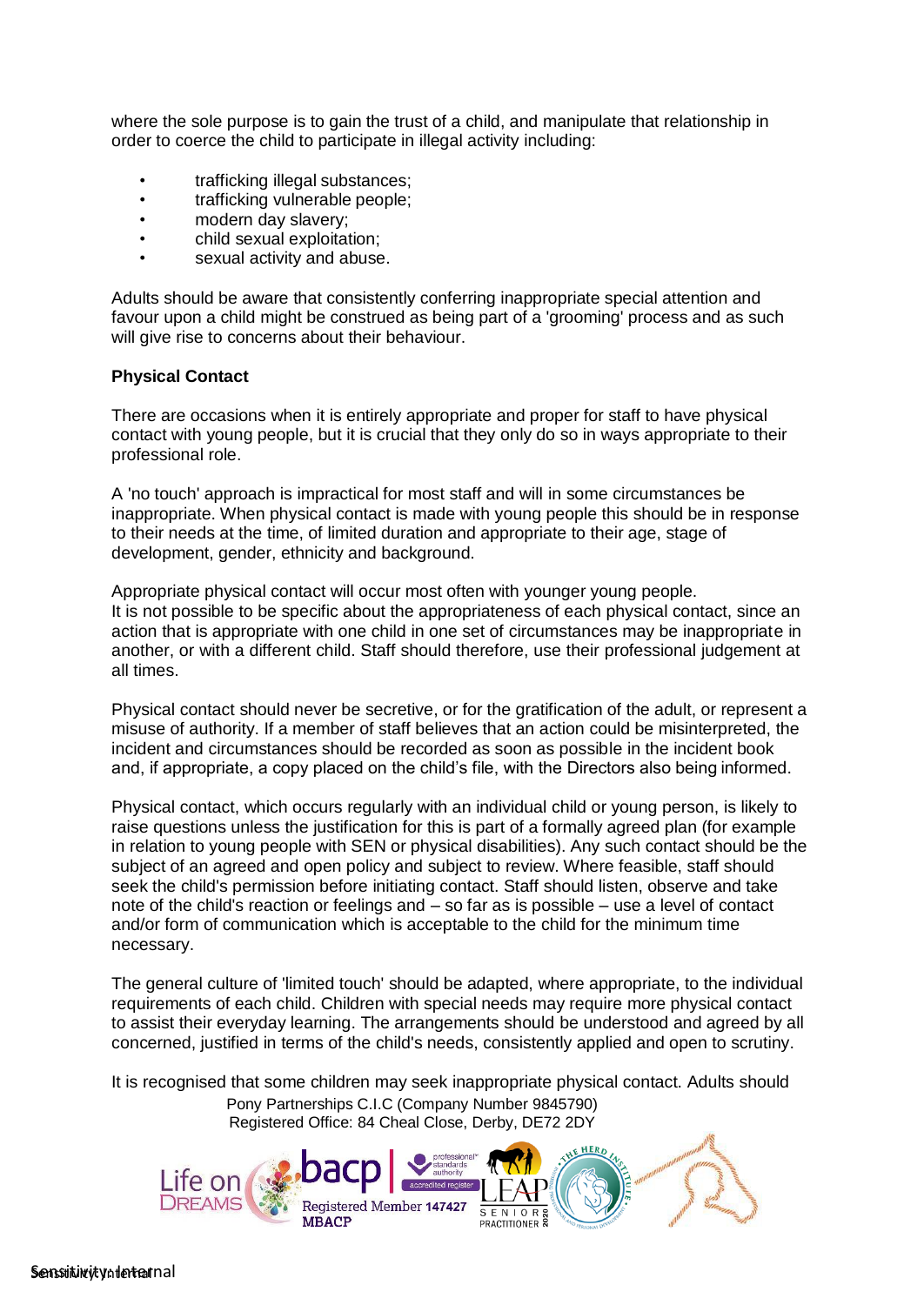where the sole purpose is to gain the trust of a child, and manipulate that relationship in order to coerce the child to participate in illegal activity including:

- trafficking illegal substances;
- trafficking vulnerable people:
- modern day slavery;
- child sexual exploitation;
- sexual activity and abuse.

Adults should be aware that consistently conferring inappropriate special attention and favour upon a child might be construed as being part of a 'grooming' process and as such will give rise to concerns about their behaviour.

#### **Physical Contact**

There are occasions when it is entirely appropriate and proper for staff to have physical contact with young people, but it is crucial that they only do so in ways appropriate to their professional role.

A 'no touch' approach is impractical for most staff and will in some circumstances be inappropriate. When physical contact is made with young people this should be in response to their needs at the time, of limited duration and appropriate to their age, stage of development, gender, ethnicity and background.

Appropriate physical contact will occur most often with younger young people. It is not possible to be specific about the appropriateness of each physical contact, since an action that is appropriate with one child in one set of circumstances may be inappropriate in another, or with a different child. Staff should therefore, use their professional judgement at all times.

Physical contact should never be secretive, or for the gratification of the adult, or represent a misuse of authority. If a member of staff believes that an action could be misinterpreted, the incident and circumstances should be recorded as soon as possible in the incident book and, if appropriate, a copy placed on the child's file, with the Directors also being informed.

Physical contact, which occurs regularly with an individual child or young person, is likely to raise questions unless the justification for this is part of a formally agreed plan (for example in relation to young people with SEN or physical disabilities). Any such contact should be the subject of an agreed and open policy and subject to review. Where feasible, staff should seek the child's permission before initiating contact. Staff should listen, observe and take note of the child's reaction or feelings and – so far as is possible – use a level of contact and/or form of communication which is acceptable to the child for the minimum time necessary.

The general culture of 'limited touch' should be adapted, where appropriate, to the individual requirements of each child. Children with special needs may require more physical contact to assist their everyday learning. The arrangements should be understood and agreed by all concerned, justified in terms of the child's needs, consistently applied and open to scrutiny.

It is recognised that some children may seek inappropriate physical contact. Adults should Pony Partnerships C.I.C (Company Number 9845790) Registered Office: 84 Cheal Close, Derby, DE72 2DY

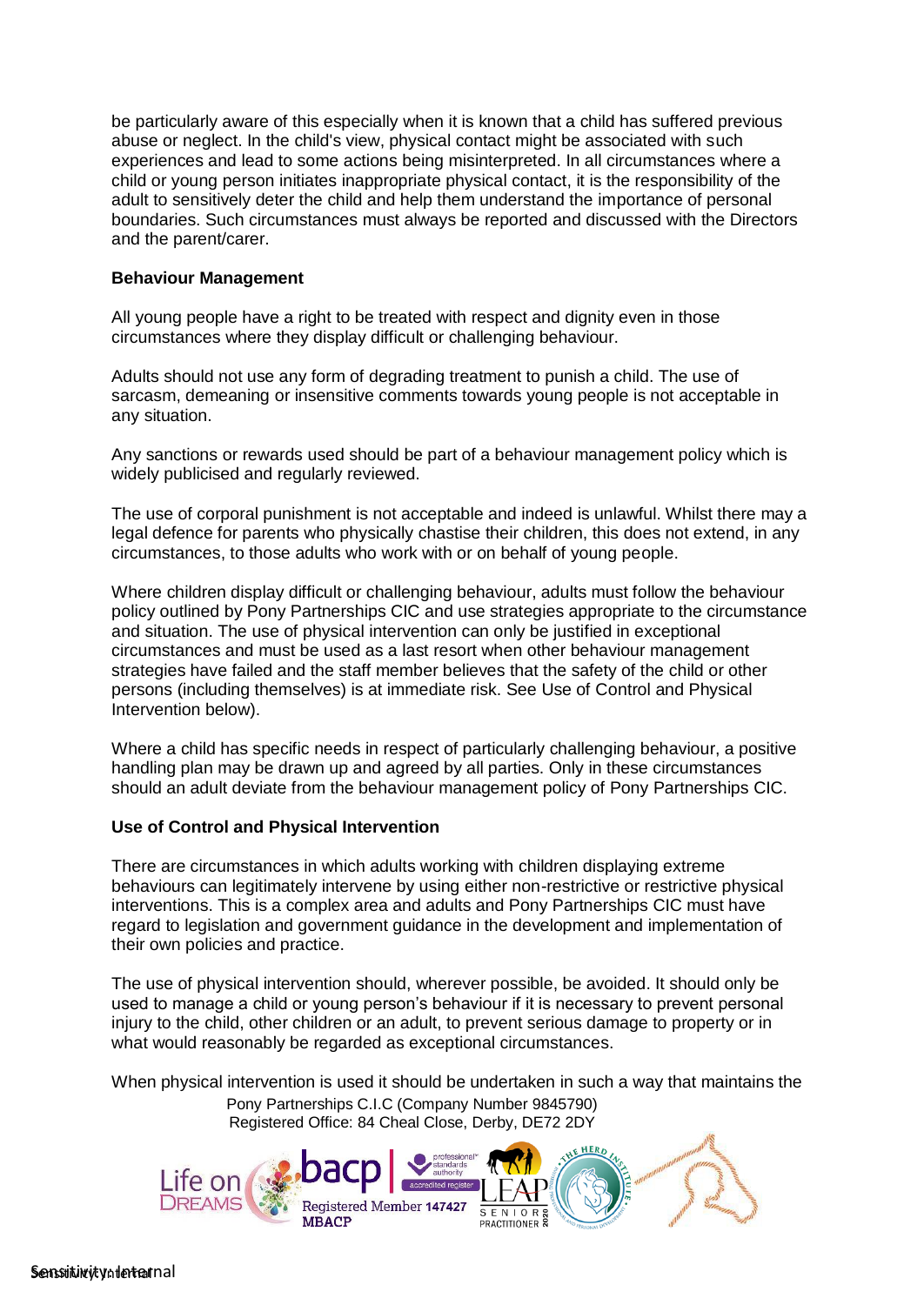be particularly aware of this especially when it is known that a child has suffered previous abuse or neglect. In the child's view, physical contact might be associated with such experiences and lead to some actions being misinterpreted. In all circumstances where a child or young person initiates inappropriate physical contact, it is the responsibility of the adult to sensitively deter the child and help them understand the importance of personal boundaries. Such circumstances must always be reported and discussed with the Directors and the parent/carer.

#### **Behaviour Management**

All young people have a right to be treated with respect and dignity even in those circumstances where they display difficult or challenging behaviour.

Adults should not use any form of degrading treatment to punish a child. The use of sarcasm, demeaning or insensitive comments towards young people is not acceptable in any situation.

Any sanctions or rewards used should be part of a behaviour management policy which is widely publicised and regularly reviewed.

The use of corporal punishment is not acceptable and indeed is unlawful. Whilst there may a legal defence for parents who physically chastise their children, this does not extend, in any circumstances, to those adults who work with or on behalf of young people.

Where children display difficult or challenging behaviour, adults must follow the behaviour policy outlined by Pony Partnerships CIC and use strategies appropriate to the circumstance and situation. The use of physical intervention can only be justified in exceptional circumstances and must be used as a last resort when other behaviour management strategies have failed and the staff member believes that the safety of the child or other persons (including themselves) is at immediate risk. See Use of Control and Physical Intervention below).

Where a child has specific needs in respect of particularly challenging behaviour, a positive handling plan may be drawn up and agreed by all parties. Only in these circumstances should an adult deviate from the behaviour management policy of Pony Partnerships CIC.

#### **Use of Control and Physical Intervention**

There are circumstances in which adults working with children displaying extreme behaviours can legitimately intervene by using either non-restrictive or restrictive physical interventions. This is a complex area and adults and Pony Partnerships CIC must have regard to legislation and government guidance in the development and implementation of their own policies and practice.

The use of physical intervention should, wherever possible, be avoided. It should only be used to manage a child or young person's behaviour if it is necessary to prevent personal injury to the child, other children or an adult, to prevent serious damage to property or in what would reasonably be regarded as exceptional circumstances.

When physical intervention is used it should be undertaken in such a way that maintains the Pony Partnerships C.I.C (Company Number 9845790)

Registered Office: 84 Cheal Close, Derby, DE72 2DY

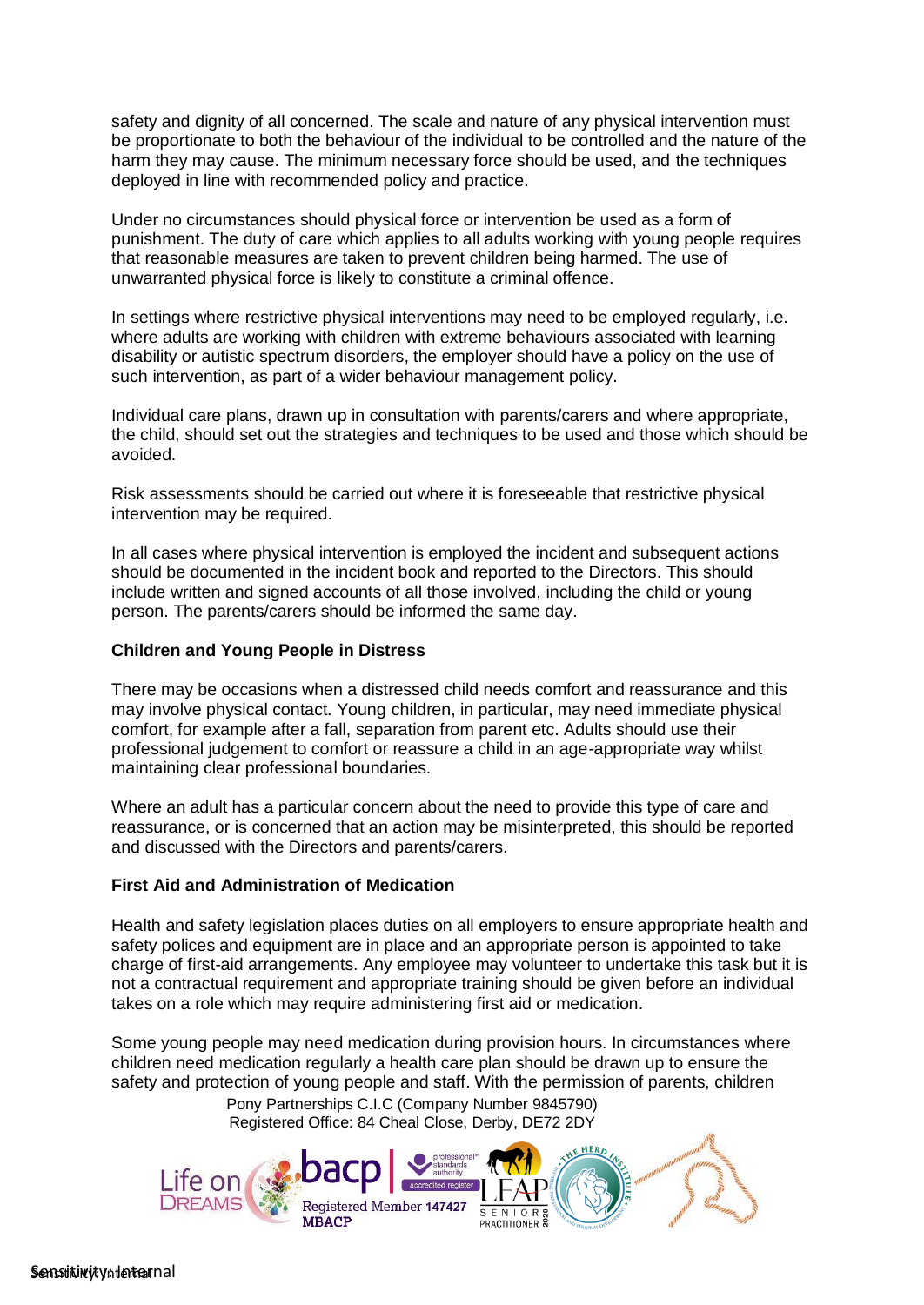safety and dignity of all concerned. The scale and nature of any physical intervention must be proportionate to both the behaviour of the individual to be controlled and the nature of the harm they may cause. The minimum necessary force should be used, and the techniques deployed in line with recommended policy and practice.

Under no circumstances should physical force or intervention be used as a form of punishment. The duty of care which applies to all adults working with young people requires that reasonable measures are taken to prevent children being harmed. The use of unwarranted physical force is likely to constitute a criminal offence.

In settings where restrictive physical interventions may need to be employed regularly, i.e. where adults are working with children with extreme behaviours associated with learning disability or autistic spectrum disorders, the employer should have a policy on the use of such intervention, as part of a wider behaviour management policy.

Individual care plans, drawn up in consultation with parents/carers and where appropriate, the child, should set out the strategies and techniques to be used and those which should be avoided.

Risk assessments should be carried out where it is foreseeable that restrictive physical intervention may be required.

In all cases where physical intervention is employed the incident and subsequent actions should be documented in the incident book and reported to the Directors. This should include written and signed accounts of all those involved, including the child or young person. The parents/carers should be informed the same day.

# **Children and Young People in Distress**

There may be occasions when a distressed child needs comfort and reassurance and this may involve physical contact. Young children, in particular, may need immediate physical comfort, for example after a fall, separation from parent etc. Adults should use their professional judgement to comfort or reassure a child in an age-appropriate way whilst maintaining clear professional boundaries.

Where an adult has a particular concern about the need to provide this type of care and reassurance, or is concerned that an action may be misinterpreted, this should be reported and discussed with the Directors and parents/carers.

## **First Aid and Administration of Medication**

Health and safety legislation places duties on all employers to ensure appropriate health and safety polices and equipment are in place and an appropriate person is appointed to take charge of first-aid arrangements. Any employee may volunteer to undertake this task but it is not a contractual requirement and appropriate training should be given before an individual takes on a role which may require administering first aid or medication.

Some young people may need medication during provision hours. In circumstances where children need medication regularly a health care plan should be drawn up to ensure the safety and protection of young people and staff. With the permission of parents, children

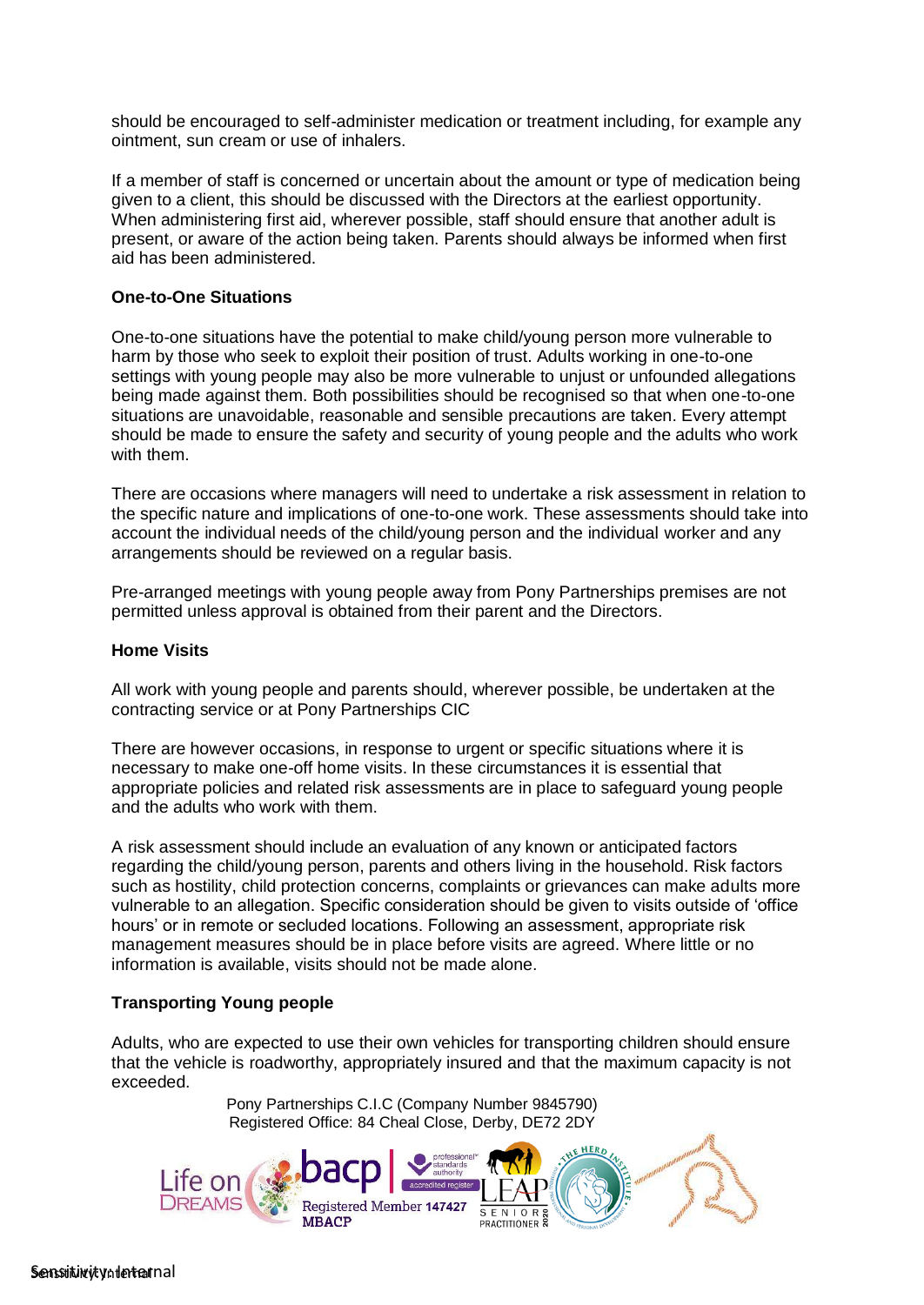should be encouraged to self-administer medication or treatment including, for example any ointment, sun cream or use of inhalers.

If a member of staff is concerned or uncertain about the amount or type of medication being given to a client, this should be discussed with the Directors at the earliest opportunity. When administering first aid, wherever possible, staff should ensure that another adult is present, or aware of the action being taken. Parents should always be informed when first aid has been administered.

#### **One-to-One Situations**

One-to-one situations have the potential to make child/young person more vulnerable to harm by those who seek to exploit their position of trust. Adults working in one-to-one settings with young people may also be more vulnerable to unjust or unfounded allegations being made against them. Both possibilities should be recognised so that when one-to-one situations are unavoidable, reasonable and sensible precautions are taken. Every attempt should be made to ensure the safety and security of young people and the adults who work with them.

There are occasions where managers will need to undertake a risk assessment in relation to the specific nature and implications of one-to-one work. These assessments should take into account the individual needs of the child/young person and the individual worker and any arrangements should be reviewed on a regular basis.

Pre-arranged meetings with young people away from Pony Partnerships premises are not permitted unless approval is obtained from their parent and the Directors.

#### **Home Visits**

All work with young people and parents should, wherever possible, be undertaken at the contracting service or at Pony Partnerships CIC

There are however occasions, in response to urgent or specific situations where it is necessary to make one-off home visits. In these circumstances it is essential that appropriate policies and related risk assessments are in place to safeguard young people and the adults who work with them.

A risk assessment should include an evaluation of any known or anticipated factors regarding the child/young person, parents and others living in the household. Risk factors such as hostility, child protection concerns, complaints or grievances can make adults more vulnerable to an allegation. Specific consideration should be given to visits outside of 'office hours' or in remote or secluded locations. Following an assessment, appropriate risk management measures should be in place before visits are agreed. Where little or no information is available, visits should not be made alone.

## **Transporting Young people**

Adults, who are expected to use their own vehicles for transporting children should ensure that the vehicle is roadworthy, appropriately insured and that the maximum capacity is not exceeded.

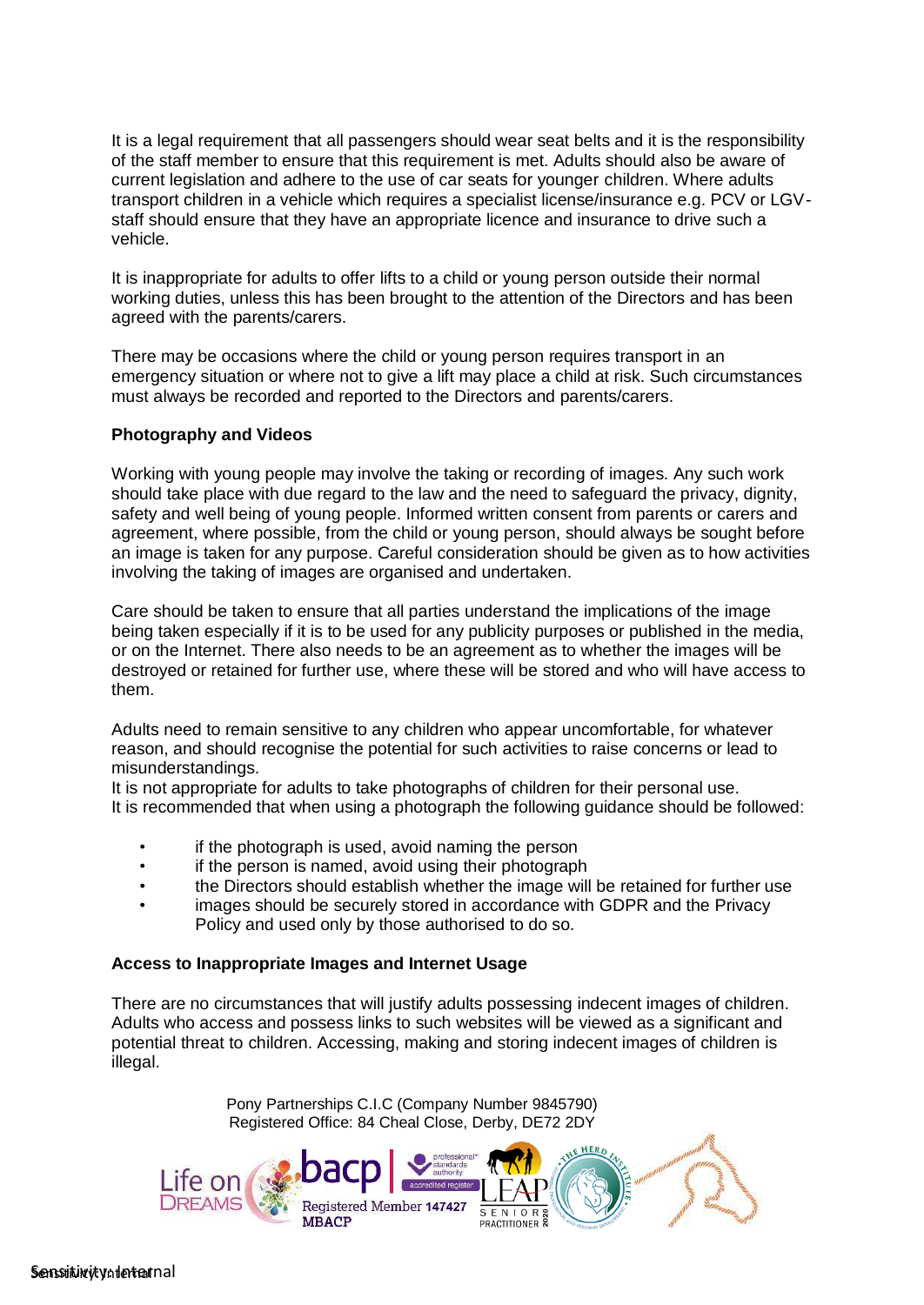It is a legal requirement that all passengers should wear seat belts and it is the responsibility of the staff member to ensure that this requirement is met. Adults should also be aware of current legislation and adhere to the use of car seats for younger children. Where adults transport children in a vehicle which requires a specialist license/insurance e.g. PCV or LGVstaff should ensure that they have an appropriate licence and insurance to drive such a vehicle.

It is inappropriate for adults to offer lifts to a child or young person outside their normal working duties, unless this has been brought to the attention of the Directors and has been agreed with the parents/carers.

There may be occasions where the child or young person requires transport in an emergency situation or where not to give a lift may place a child at risk. Such circumstances must always be recorded and reported to the Directors and parents/carers.

## **Photography and Videos**

Working with young people may involve the taking or recording of images. Any such work should take place with due regard to the law and the need to safeguard the privacy, dignity, safety and well being of young people. Informed written consent from parents or carers and agreement, where possible, from the child or young person, should always be sought before an image is taken for any purpose. Careful consideration should be given as to how activities involving the taking of images are organised and undertaken.

Care should be taken to ensure that all parties understand the implications of the image being taken especially if it is to be used for any publicity purposes or published in the media, or on the Internet. There also needs to be an agreement as to whether the images will be destroyed or retained for further use, where these will be stored and who will have access to them.

Adults need to remain sensitive to any children who appear uncomfortable, for whatever reason, and should recognise the potential for such activities to raise concerns or lead to misunderstandings.

It is not appropriate for adults to take photographs of children for their personal use. It is recommended that when using a photograph the following guidance should be followed:

- if the photograph is used, avoid naming the person
- if the person is named, avoid using their photograph
- the Directors should establish whether the image will be retained for further use
- images should be securely stored in accordance with GDPR and the Privacy Policy and used only by those authorised to do so.

# **Access to Inappropriate Images and Internet Usage**

There are no circumstances that will justify adults possessing indecent images of children. Adults who access and possess links to such websites will be viewed as a significant and potential threat to children. Accessing, making and storing indecent images of children is illegal.

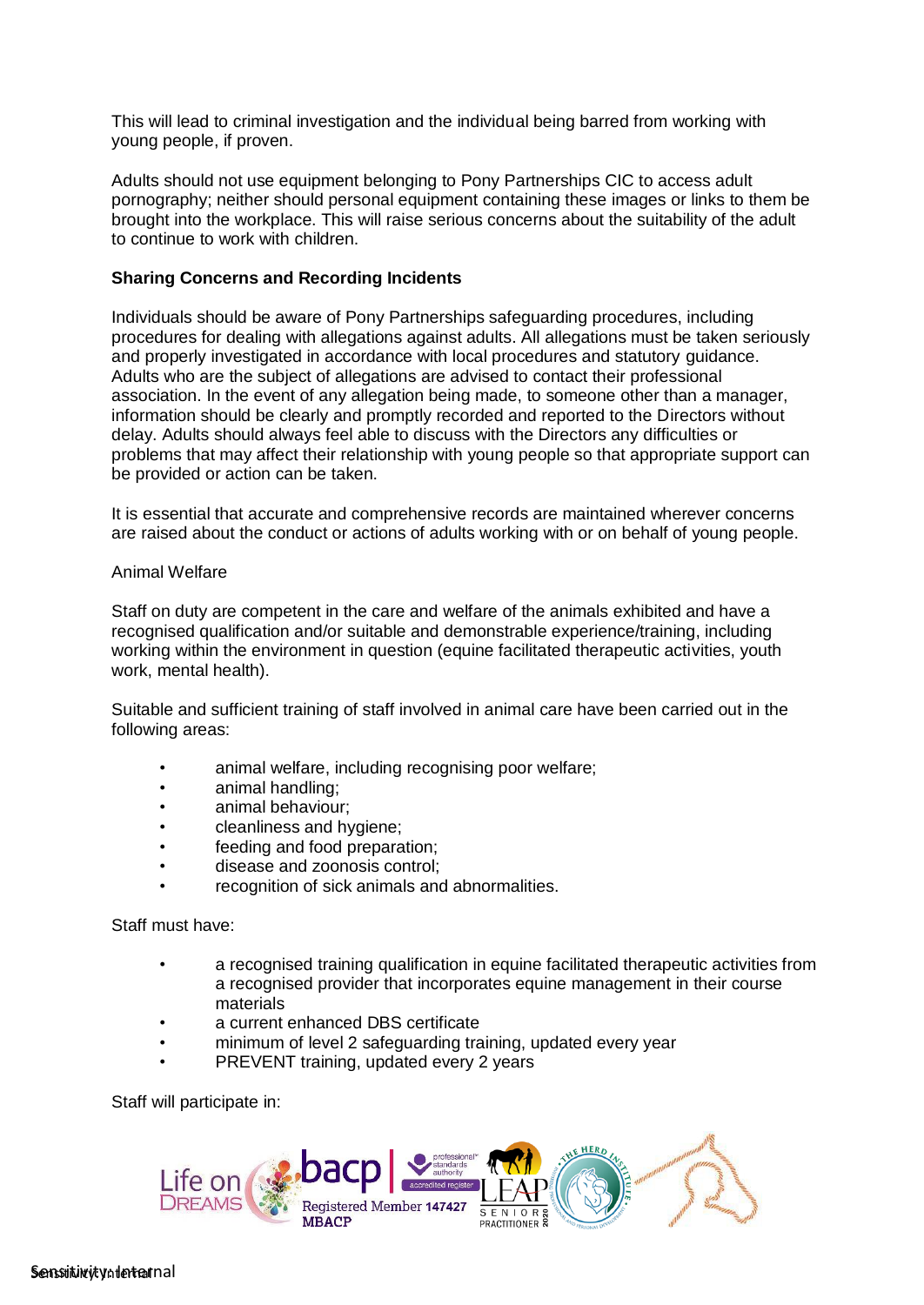This will lead to criminal investigation and the individual being barred from working with young people, if proven.

Adults should not use equipment belonging to Pony Partnerships CIC to access adult pornography; neither should personal equipment containing these images or links to them be brought into the workplace. This will raise serious concerns about the suitability of the adult to continue to work with children.

#### **Sharing Concerns and Recording Incidents**

Individuals should be aware of Pony Partnerships safeguarding procedures, including procedures for dealing with allegations against adults. All allegations must be taken seriously and properly investigated in accordance with local procedures and statutory guidance. Adults who are the subject of allegations are advised to contact their professional association. In the event of any allegation being made, to someone other than a manager, information should be clearly and promptly recorded and reported to the Directors without delay. Adults should always feel able to discuss with the Directors any difficulties or problems that may affect their relationship with young people so that appropriate support can be provided or action can be taken.

It is essential that accurate and comprehensive records are maintained wherever concerns are raised about the conduct or actions of adults working with or on behalf of young people.

#### Animal Welfare

Staff on duty are competent in the care and welfare of the animals exhibited and have a recognised qualification and/or suitable and demonstrable experience/training, including working within the environment in question (equine facilitated therapeutic activities, youth work, mental health).

Suitable and sufficient training of staff involved in animal care have been carried out in the following areas:

- animal welfare, including recognising poor welfare;
- animal handling;
- animal behaviour;
- cleanliness and hygiene;
- feeding and food preparation;
- disease and zoonosis control;
- recognition of sick animals and abnormalities.

Staff must have:

- a recognised training qualification in equine facilitated therapeutic activities from a recognised provider that incorporates equine management in their course materials
- a current enhanced DBS certificate
- minimum of level 2 safeguarding training, updated every year
- PREVENT training, updated every 2 years

Staff will participate in: